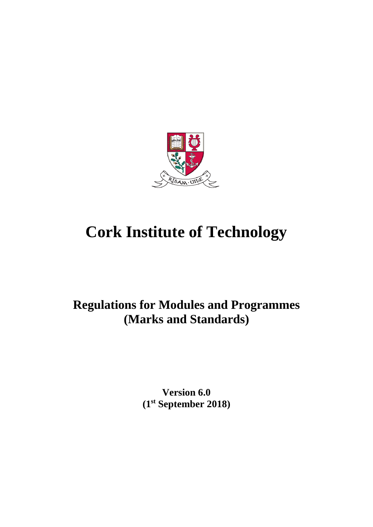

# **Cork Institute of Technology**

# **Regulations for Modules and Programmes (Marks and Standards)**

**Version 6.0 (1 st September 2018)**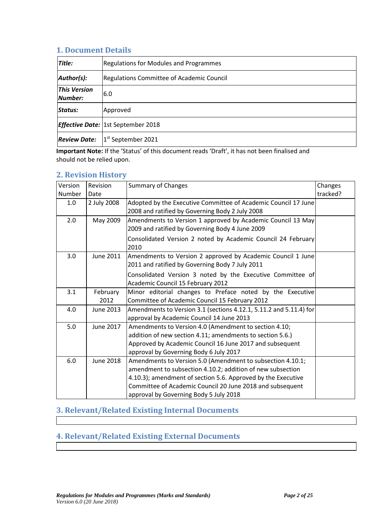#### **1. Document Details**

| Title:                         | <b>Regulations for Modules and Programmes</b>    |
|--------------------------------|--------------------------------------------------|
| Author(s):                     | <b>Regulations Committee of Academic Council</b> |
| <b>This Version</b><br>Number: | 6.0                                              |
| Status:                        | Approved                                         |
|                                | <b>Effective Date:</b> 1st September 2018        |
| <b>Review Date:</b>            | 1 <sup>st</sup> September 2021                   |

**Important Note:** If the 'Status' of this document reads 'Draft', it has not been finalised and should not be relied upon.

#### **2. Revision History**

| Version | Revision         | <b>Summary of Changes</b>                                            | Changes  |
|---------|------------------|----------------------------------------------------------------------|----------|
| Number  | Date             |                                                                      | tracked? |
| 1.0     | 2 July 2008      | Adopted by the Executive Committee of Academic Council 17 June       |          |
|         |                  | 2008 and ratified by Governing Body 2 July 2008                      |          |
| 2.0     | May 2009         | Amendments to Version 1 approved by Academic Council 13 May          |          |
|         |                  | 2009 and ratified by Governing Body 4 June 2009                      |          |
|         |                  | Consolidated Version 2 noted by Academic Council 24 February<br>2010 |          |
| 3.0     | June 2011        | Amendments to Version 2 approved by Academic Council 1 June          |          |
|         |                  | 2011 and ratified by Governing Body 7 July 2011                      |          |
|         |                  | Consolidated Version 3 noted by the Executive Committee of           |          |
|         |                  | Academic Council 15 February 2012                                    |          |
| 3.1     | February         | Minor editorial changes to Preface noted by the Executive            |          |
|         | 2012             | Committee of Academic Council 15 February 2012                       |          |
| 4.0     | June 2013        | Amendments to Version 3.1 (sections 4.12.1, 5.11.2 and 5.11.4) for   |          |
|         |                  | approval by Academic Council 14 June 2013                            |          |
| 5.0     | June 2017        | Amendments to Version 4.0 (Amendment to section 4.10;                |          |
|         |                  | addition of new section 4.11; amendments to section 5.6.)            |          |
|         |                  | Approved by Academic Council 16 June 2017 and subsequent             |          |
|         |                  | approval by Governing Body 6 July 2017                               |          |
| 6.0     | <b>June 2018</b> | Amendments to Version 5.0 (Amendment to subsection 4.10.1;           |          |
|         |                  | amendment to subsection 4.10.2; addition of new subsection           |          |
|         |                  | 4.10.3); amendment of section 5.6. Approved by the Executive         |          |
|         |                  | Committee of Academic Council 20 June 2018 and subsequent            |          |
|         |                  | approval by Governing Body 5 July 2018                               |          |

# **3. Relevant/Related Existing Internal Documents**

# **4. Relevant/Related Existing External Documents**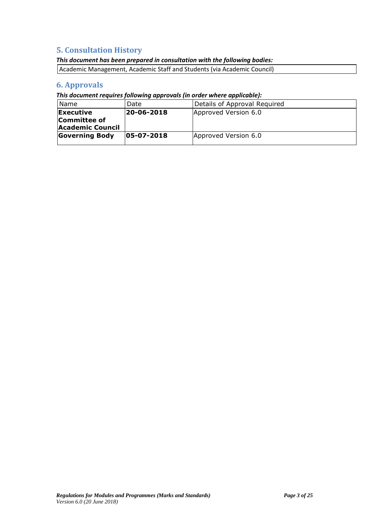## **5. Consultation History**

#### *This document has been prepared in consultation with the following bodies:*

| Academic Management, Academic Staff and Students (via Academic Council) |  |  |
|-------------------------------------------------------------------------|--|--|
|                                                                         |  |  |

# **6. Approvals**

*This document requires following approvals (in order where applicable):* 

| Name                    | Date           | Details of Approval Required |
|-------------------------|----------------|------------------------------|
| Executive               | 20-06-2018     | Approved Version 6.0         |
| Committee of            |                |                              |
| <b>Academic Council</b> |                |                              |
| <b>Governing Body</b>   | $ 05-07-2018 $ | Approved Version 6.0         |
|                         |                |                              |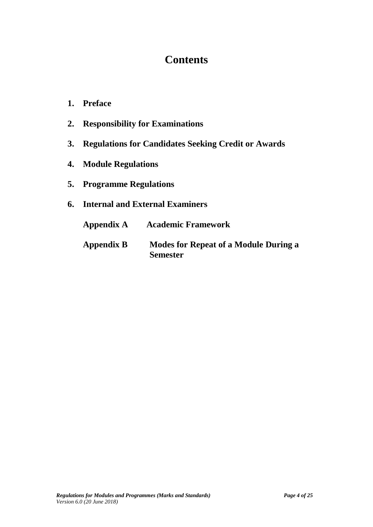# **Contents**

- **1. Preface**
- **2. Responsibility for Examinations**
- **3. Regulations for Candidates Seeking Credit or Awards**
- **4. Module Regulations**
- **5. Programme Regulations**

# **6. Internal and External Examiners**

| Appendix A        | <b>Academic Framework</b>                                       |
|-------------------|-----------------------------------------------------------------|
| <b>Appendix B</b> | <b>Modes for Repeat of a Module During a</b><br><b>Semester</b> |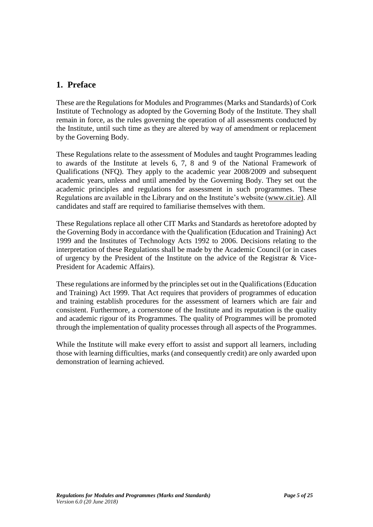# **1. Preface**

These are the Regulations for Modules and Programmes (Marks and Standards) of Cork Institute of Technology as adopted by the Governing Body of the Institute. They shall remain in force, as the rules governing the operation of all assessments conducted by the Institute, until such time as they are altered by way of amendment or replacement by the Governing Body.

These Regulations relate to the assessment of Modules and taught Programmes leading to awards of the Institute at levels 6, 7, 8 and 9 of the National Framework of Qualifications (NFQ). They apply to the academic year 2008/2009 and subsequent academic years, unless and until amended by the Governing Body. They set out the academic principles and regulations for assessment in such programmes. These Regulations are available in the Library and on the Institute's website [\(www.cit.ie\).](http://www.cit.ie)/) All candidates and staff are required to familiarise themselves with them.

These Regulations replace all other CIT Marks and Standards as heretofore adopted by the Governing Body in accordance with the Qualification (Education and Training) Act 1999 and the Institutes of Technology Acts 1992 to 2006. Decisions relating to the interpretation of these Regulations shall be made by the Academic Council (or in cases of urgency by the President of the Institute on the advice of the Registrar & Vice-President for Academic Affairs).

These regulations are informed by the principles set out in the Qualifications (Education and Training) Act 1999. That Act requires that providers of programmes of education and training establish procedures for the assessment of learners which are fair and consistent. Furthermore, a cornerstone of the Institute and its reputation is the quality and academic rigour of its Programmes. The quality of Programmes will be promoted through the implementation of quality processes through all aspects of the Programmes.

While the Institute will make every effort to assist and support all learners, including those with learning difficulties, marks (and consequently credit) are only awarded upon demonstration of learning achieved.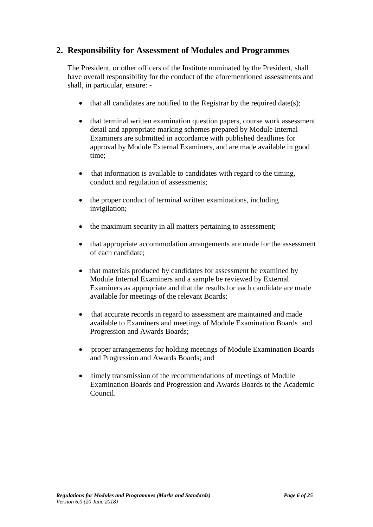## **2. Responsibility for Assessment of Modules and Programmes**

The President, or other officers of the Institute nominated by the President, shall have overall responsibility for the conduct of the aforementioned assessments and shall, in particular, ensure: -

- $\bullet$  that all candidates are notified to the Registrar by the required date(s);
- that terminal written examination question papers, course work assessment detail and appropriate marking schemes prepared by Module Internal Examiners are submitted in accordance with published deadlines for approval by Module External Examiners, and are made available in good time;
- that information is available to candidates with regard to the timing, conduct and regulation of assessments;
- the proper conduct of terminal written examinations, including invigilation;
- the maximum security in all matters pertaining to assessment;
- that appropriate accommodation arrangements are made for the assessment of each candidate;
- that materials produced by candidates for assessment be examined by Module Internal Examiners and a sample be reviewed by External Examiners as appropriate and that the results for each candidate are made available for meetings of the relevant Boards;
- that accurate records in regard to assessment are maintained and made available to Examiners and meetings of Module Examination Boards and Progression and Awards Boards;
- proper arrangements for holding meetings of Module Examination Boards and Progression and Awards Boards; and
- timely transmission of the recommendations of meetings of Module Examination Boards and Progression and Awards Boards to the Academic Council.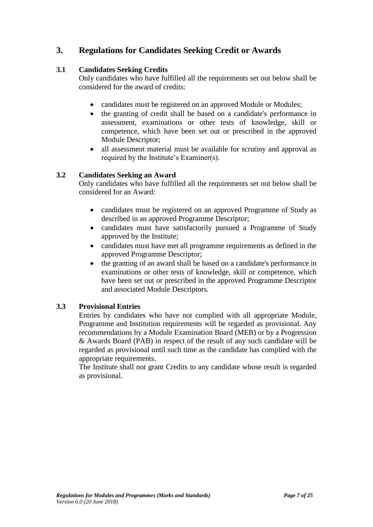# **3. Regulations for Candidates Seeking Credit or Awards**

#### **3.1 Candidates Seeking Credits**

Only candidates who have fulfilled all the requirements set out below shall be considered for the award of credits:

- candidates must be registered on an approved Module or Modules;
- the granting of credit shall be based on a candidate's performance in assessment, examinations or other tests of knowledge, skill or competence, which have been set out or prescribed in the approved Module Descriptor;
- all assessment material must be available for scrutiny and approval as required by the Institute's Examiner(s).

#### **3.2 Candidates Seeking an Award**

Only candidates who have fulfilled all the requirements set out below shall be considered for an Award:

- candidates must be registered on an approved Programme of Study as described in an approved Programme Descriptor;
- candidates must have satisfactorily pursued a Programme of Study approved by the Institute;
- candidates must have met all programme requirements as defined in the approved Programme Descriptor;
- the granting of an award shall be based on a candidate's performance in examinations or other tests of knowledge, skill or competence, which have been set out or prescribed in the approved Programme Descriptor and associated Module Descriptors.

#### **3.3 Provisional Entries**

Entries by candidates who have not complied with all appropriate Module, Programme and Institution requirements will be regarded as provisional. Any recommendations by a Module Examination Board (MEB) or by a Progression & Awards Board (PAB) in respect of the result of any such candidate will be regarded as provisional until such time as the candidate has complied with the appropriate requirements.

The Institute shall not grant Credits to any candidate whose result is regarded as provisional.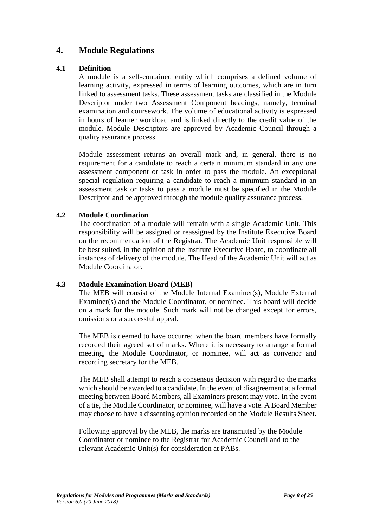### **4. Module Regulations**

#### **4.1 Definition**

A module is a self-contained entity which comprises a defined volume of learning activity, expressed in terms of learning outcomes, which are in turn linked to assessment tasks. These assessment tasks are classified in the Module Descriptor under two Assessment Component headings, namely, terminal examination and coursework. The volume of educational activity is expressed in hours of learner workload and is linked directly to the credit value of the module. Module Descriptors are approved by Academic Council through a quality assurance process.

Module assessment returns an overall mark and, in general, there is no requirement for a candidate to reach a certain minimum standard in any one assessment component or task in order to pass the module. An exceptional special regulation requiring a candidate to reach a minimum standard in an assessment task or tasks to pass a module must be specified in the Module Descriptor and be approved through the module quality assurance process.

#### **4.2 Module Coordination**

The coordination of a module will remain with a single Academic Unit. This responsibility will be assigned or reassigned by the Institute Executive Board on the recommendation of the Registrar. The Academic Unit responsible will be best suited, in the opinion of the Institute Executive Board, to coordinate all instances of delivery of the module. The Head of the Academic Unit will act as Module Coordinator.

#### **4.3 Module Examination Board (MEB)**

The MEB will consist of the Module Internal Examiner(s), Module External Examiner(s) and the Module Coordinator, or nominee. This board will decide on a mark for the module. Such mark will not be changed except for errors, omissions or a successful appeal.

The MEB is deemed to have occurred when the board members have formally recorded their agreed set of marks. Where it is necessary to arrange a formal meeting, the Module Coordinator, or nominee, will act as convenor and recording secretary for the MEB.

The MEB shall attempt to reach a consensus decision with regard to the marks which should be awarded to a candidate. In the event of disagreement at a formal meeting between Board Members, all Examiners present may vote. In the event of a tie, the Module Coordinator, or nominee, will have a vote. A Board Member may choose to have a dissenting opinion recorded on the Module Results Sheet.

Following approval by the MEB, the marks are transmitted by the Module Coordinator or nominee to the Registrar for Academic Council and to the relevant Academic Unit(s) for consideration at PABs.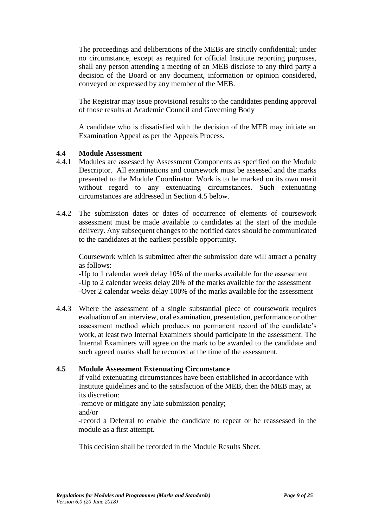The proceedings and deliberations of the MEBs are strictly confidential; under no circumstance, except as required for official Institute reporting purposes, shall any person attending a meeting of an MEB disclose to any third party a decision of the Board or any document, information or opinion considered, conveyed or expressed by any member of the MEB.

The Registrar may issue provisional results to the candidates pending approval of those results at Academic Council and Governing Body

A candidate who is dissatisfied with the decision of the MEB may initiate an Examination Appeal as per the Appeals Process.

#### **4.4 Module Assessment**

- 4.4.1 Modules are assessed by Assessment Components as specified on the Module Descriptor. All examinations and coursework must be assessed and the marks presented to the Module Coordinator. Work is to be marked on its own merit without regard to any extenuating circumstances. Such extenuating circumstances are addressed in Section 4.5 below.
- 4.4.2 The submission dates or dates of occurrence of elements of coursework assessment must be made available to candidates at the start of the module delivery. Any subsequent changes to the notified dates should be communicated to the candidates at the earliest possible opportunity.

Coursework which is submitted after the submission date will attract a penalty as follows:

-Up to 1 calendar week delay 10% of the marks available for the assessment -Up to 2 calendar weeks delay 20% of the marks available for the assessment -Over 2 calendar weeks delay 100% of the marks available for the assessment

4.4.3 Where the assessment of a single substantial piece of coursework requires evaluation of an interview, oral examination, presentation, performance or other assessment method which produces no permanent record of the candidate's work, at least two Internal Examiners should participate in the assessment. The Internal Examiners will agree on the mark to be awarded to the candidate and such agreed marks shall be recorded at the time of the assessment.

#### **4.5 Module Assessment Extenuating Circumstance**

If valid extenuating circumstances have been established in accordance with Institute guidelines and to the satisfaction of the MEB, then the MEB may, at its discretion:

-remove or mitigate any late submission penalty;

and/or

-record a Deferral to enable the candidate to repeat or be reassessed in the module as a first attempt.

This decision shall be recorded in the Module Results Sheet.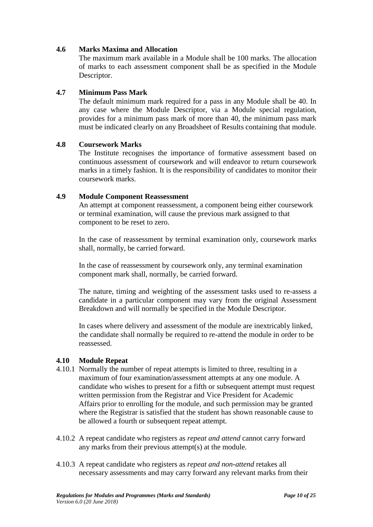#### **4.6 Marks Maxima and Allocation**

The maximum mark available in a Module shall be 100 marks. The allocation of marks to each assessment component shall be as specified in the Module Descriptor.

#### **4.7 Minimum Pass Mark**

The default minimum mark required for a pass in any Module shall be 40. In any case where the Module Descriptor, via a Module special regulation, provides for a minimum pass mark of more than 40, the minimum pass mark must be indicated clearly on any Broadsheet of Results containing that module.

#### **4.8 Coursework Marks**

The Institute recognises the importance of formative assessment based on continuous assessment of coursework and will endeavor to return coursework marks in a timely fashion. It is the responsibility of candidates to monitor their coursework marks.

#### **4.9 Module Component Reassessment**

An attempt at component reassessment, a component being either coursework or terminal examination, will cause the previous mark assigned to that component to be reset to zero.

In the case of reassessment by terminal examination only, coursework marks shall, normally, be carried forward.

In the case of reassessment by coursework only, any terminal examination component mark shall, normally, be carried forward.

The nature, timing and weighting of the assessment tasks used to re-assess a candidate in a particular component may vary from the original Assessment Breakdown and will normally be specified in the Module Descriptor.

In cases where delivery and assessment of the module are inextricably linked, the candidate shall normally be required to re-attend the module in order to be reassessed.

#### **4.10 Module Repeat**

- 4.10.1 Normally the number of repeat attempts is limited to three, resulting in a maximum of four examination/assessment attempts at any one module. A candidate who wishes to present for a fifth or subsequent attempt must request written permission from the Registrar and Vice President for Academic Affairs prior to enrolling for the module*,* and such permission may be granted where the Registrar is satisfied that the student has shown reasonable cause to be allowed a fourth or subsequent repeat attempt.
- 4.10.2 A repeat candidate who registers as *repeat and attend* cannot carry forward any marks from their previous attempt(s) at the module.
- 4.10.3 A repeat candidate who registers as *repeat and non-attend* retakes all necessary assessments and may carry forward any relevant marks from their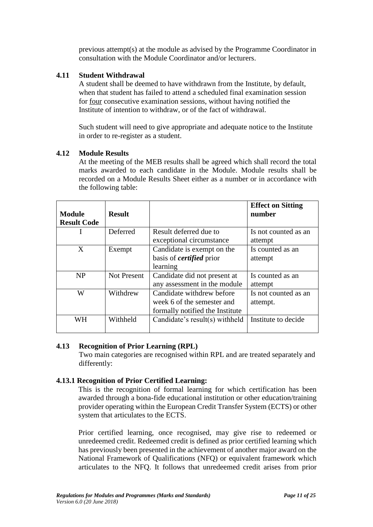previous attempt(s) at the module as advised by the Programme Coordinator in consultation with the Module Coordinator and/or lecturers.

#### **4.11 Student Withdrawal**

A student shall be deemed to have withdrawn from the Institute, by default, when that student has failed to attend a scheduled final examination session for four consecutive examination sessions, without having notified the Institute of intention to withdraw, or of the fact of withdrawal.

Such student will need to give appropriate and adequate notice to the Institute in order to re-register as a student.

#### **4.12 Module Results**

At the meeting of the MEB results shall be agreed which shall record the total marks awarded to each candidate in the Module. Module results shall be recorded on a Module Results Sheet either as a number or in accordance with the following table:

| <b>Module</b><br><b>Result Code</b> | <b>Result</b>      |                                 | <b>Effect on Sitting</b><br>number |
|-------------------------------------|--------------------|---------------------------------|------------------------------------|
|                                     | Deferred           | Result deferred due to          | Is not counted as an               |
|                                     |                    | exceptional circumstance        | attempt                            |
| X                                   | Exempt             | Candidate is exempt on the      | Is counted as an                   |
|                                     |                    | basis of <i>certified</i> prior | attempt                            |
|                                     |                    | learning                        |                                    |
| <b>NP</b>                           | <b>Not Present</b> | Candidate did not present at    | Is counted as an                   |
|                                     |                    | any assessment in the module    | attempt                            |
| W                                   | Withdrew           | Candidate withdrew before       | Is not counted as an               |
|                                     |                    | week 6 of the semester and      | attempt.                           |
|                                     |                    | formally notified the Institute |                                    |
| WН                                  | Withheld           | Candidate's result(s) withheld  | Institute to decide                |
|                                     |                    |                                 |                                    |

#### **4.13 Recognition of Prior Learning (RPL)**

Two main categories are recognised within RPL and are treated separately and differently:

#### **4.13.1 Recognition of Prior Certified Learning:**

This is the recognition of formal learning for which certification has been awarded through a bona-fide educational institution or other education/training provider operating within the European Credit Transfer System (ECTS) or other system that articulates to the ECTS.

Prior certified learning, once recognised, may give rise to redeemed or unredeemed credit. Redeemed credit is defined as prior certified learning which has previously been presented in the achievement of another major award on the National Framework of Qualifications (NFQ) or equivalent framework which articulates to the NFQ. It follows that unredeemed credit arises from prior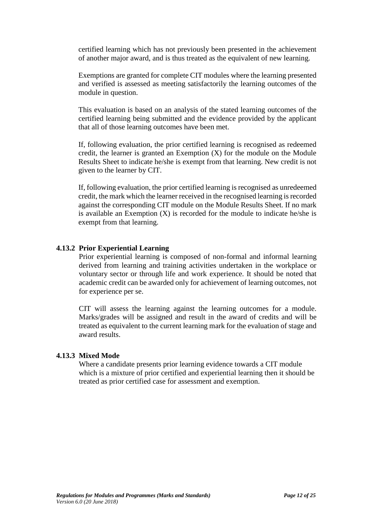certified learning which has not previously been presented in the achievement of another major award, and is thus treated as the equivalent of new learning.

Exemptions are granted for complete CIT modules where the learning presented and verified is assessed as meeting satisfactorily the learning outcomes of the module in question.

This evaluation is based on an analysis of the stated learning outcomes of the certified learning being submitted and the evidence provided by the applicant that all of those learning outcomes have been met.

If, following evaluation, the prior certified learning is recognised as redeemed credit, the learner is granted an Exemption (X) for the module on the Module Results Sheet to indicate he/she is exempt from that learning. New credit is not given to the learner by CIT.

If, following evaluation, the prior certified learning is recognised as unredeemed credit, the mark which the learner received in the recognised learning is recorded against the corresponding CIT module on the Module Results Sheet. If no mark is available an Exemption  $(X)$  is recorded for the module to indicate he/she is exempt from that learning.

#### **4.13.2 Prior Experiential Learning**

Prior experiential learning is composed of non-formal and informal learning derived from learning and training activities undertaken in the workplace or voluntary sector or through life and work experience. It should be noted that academic credit can be awarded only for achievement of learning outcomes, not for experience per se.

CIT will assess the learning against the learning outcomes for a module. Marks/grades will be assigned and result in the award of credits and will be treated as equivalent to the current learning mark for the evaluation of stage and award results.

#### **4.13.3 Mixed Mode**

Where a candidate presents prior learning evidence towards a CIT module which is a mixture of prior certified and experiential learning then it should be treated as prior certified case for assessment and exemption.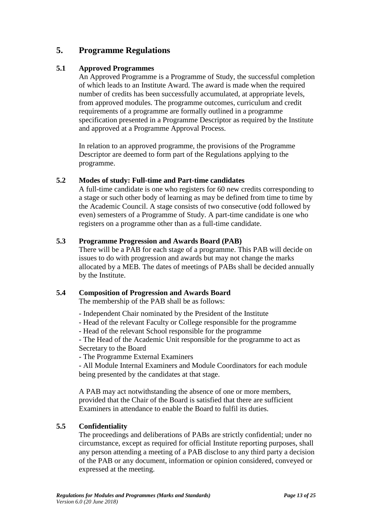# **5. Programme Regulations**

#### **5.1 Approved Programmes**

An Approved Programme is a Programme of Study, the successful completion of which leads to an Institute Award. The award is made when the required number of credits has been successfully accumulated, at appropriate levels, from approved modules. The programme outcomes, curriculum and credit requirements of a programme are formally outlined in a programme specification presented in a Programme Descriptor as required by the Institute and approved at a Programme Approval Process.

In relation to an approved programme, the provisions of the Programme Descriptor are deemed to form part of the Regulations applying to the programme.

#### **5.2 Modes of study: Full-time and Part-time candidates**

A full-time candidate is one who registers for 60 new credits corresponding to a stage or such other body of learning as may be defined from time to time by the Academic Council. A stage consists of two consecutive (odd followed by even) semesters of a Programme of Study. A part-time candidate is one who registers on a programme other than as a full-time candidate.

#### **5.3 Programme Progression and Awards Board (PAB)**

There will be a PAB for each stage of a programme. This PAB will decide on issues to do with progression and awards but may not change the marks allocated by a MEB. The dates of meetings of PABs shall be decided annually by the Institute.

#### **5.4 Composition of Progression and Awards Board**

The membership of the PAB shall be as follows:

- Independent Chair nominated by the President of the Institute
- Head of the relevant Faculty or College responsible for the programme
- Head of the relevant School responsible for the programme

- The Head of the Academic Unit responsible for the programme to act as Secretary to the Board

- The Programme External Examiners

- All Module Internal Examiners and Module Coordinators for each module being presented by the candidates at that stage.

A PAB may act notwithstanding the absence of one or more members, provided that the Chair of the Board is satisfied that there are sufficient Examiners in attendance to enable the Board to fulfil its duties.

#### **5.5 Confidentiality**

The proceedings and deliberations of PABs are strictly confidential; under no circumstance, except as required for official Institute reporting purposes, shall any person attending a meeting of a PAB disclose to any third party a decision of the PAB or any document, information or opinion considered, conveyed or expressed at the meeting.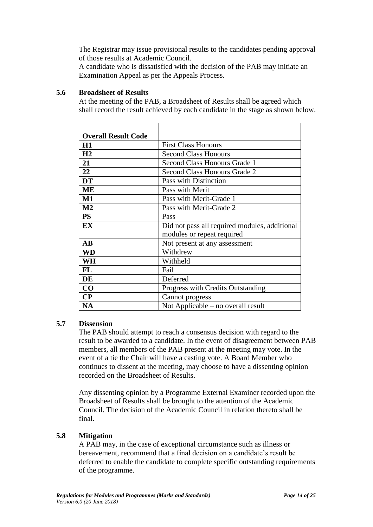The Registrar may issue provisional results to the candidates pending approval of those results at Academic Council.

A candidate who is dissatisfied with the decision of the PAB may initiate an Examination Appeal as per the Appeals Process.

#### **5.6 Broadsheet of Results**

At the meeting of the PAB, a Broadsheet of Results shall be agreed which shall record the result achieved by each candidate in the stage as shown below.

| <b>Overall Result Code</b> |                                               |
|----------------------------|-----------------------------------------------|
| H1                         | <b>First Class Honours</b>                    |
| H <sub>2</sub>             | <b>Second Class Honours</b>                   |
| 21                         | Second Class Honours Grade 1                  |
| 22                         | <b>Second Class Honours Grade 2</b>           |
| <b>DT</b>                  | Pass with Distinction                         |
| <b>ME</b>                  | Pass with Merit                               |
| $\mathbf{M1}$              | Pass with Merit-Grade 1                       |
| M <sub>2</sub>             | Pass with Merit-Grade 2                       |
| <b>PS</b>                  | Pass                                          |
| EX                         | Did not pass all required modules, additional |
|                            | modules or repeat required                    |
| $\mathbf{A}\mathbf{B}$     | Not present at any assessment                 |
| WD                         | Withdrew                                      |
| WH                         | Withheld                                      |
| FL                         | Fail                                          |
| DE                         | Deferred                                      |
| CO                         | Progress with Credits Outstanding             |
| $\bf CP$                   | Cannot progress                               |
| <b>NA</b>                  | Not Applicable – no overall result            |

#### **5.7 Dissension**

The PAB should attempt to reach a consensus decision with regard to the result to be awarded to a candidate. In the event of disagreement between PAB members, all members of the PAB present at the meeting may vote. In the event of a tie the Chair will have a casting vote. A Board Member who continues to dissent at the meeting, may choose to have a dissenting opinion recorded on the Broadsheet of Results.

Any dissenting opinion by a Programme External Examiner recorded upon the Broadsheet of Results shall be brought to the attention of the Academic Council. The decision of the Academic Council in relation thereto shall be final.

#### **5.8 Mitigation**

A PAB may, in the case of exceptional circumstance such as illness or bereavement, recommend that a final decision on a candidate's result be deferred to enable the candidate to complete specific outstanding requirements of the programme.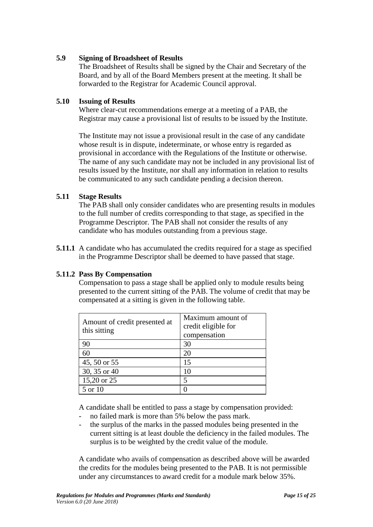#### **5.9 Signing of Broadsheet of Results**

The Broadsheet of Results shall be signed by the Chair and Secretary of the Board, and by all of the Board Members present at the meeting. It shall be forwarded to the Registrar for Academic Council approval.

#### **5.10 Issuing of Results**

Where clear-cut recommendations emerge at a meeting of a PAB, the Registrar may cause a provisional list of results to be issued by the Institute.

The Institute may not issue a provisional result in the case of any candidate whose result is in dispute, indeterminate, or whose entry is regarded as provisional in accordance with the Regulations of the Institute or otherwise. The name of any such candidate may not be included in any provisional list of results issued by the Institute, nor shall any information in relation to results be communicated to any such candidate pending a decision thereon.

#### **5.11 Stage Results**

The PAB shall only consider candidates who are presenting results in modules to the full number of credits corresponding to that stage, as specified in the Programme Descriptor. The PAB shall not consider the results of any candidate who has modules outstanding from a previous stage.

**5.11.1** A candidate who has accumulated the credits required for a stage as specified in the Programme Descriptor shall be deemed to have passed that stage.

#### **5.11.2 Pass By Compensation**

Compensation to pass a stage shall be applied only to module results being presented to the current sitting of the PAB. The volume of credit that may be compensated at a sitting is given in the following table.

| Amount of credit presented at<br>this sitting | Maximum amount of<br>credit eligible for<br>compensation |
|-----------------------------------------------|----------------------------------------------------------|
| 90                                            | 30                                                       |
| 60                                            | 20                                                       |
| 45, 50 or 55                                  | 15                                                       |
| 30, 35 or 40                                  |                                                          |
| 15,20 or 25                                   |                                                          |
| 5 or 10                                       |                                                          |

A candidate shall be entitled to pass a stage by compensation provided:

- no failed mark is more than 5% below the pass mark.
- the surplus of the marks in the passed modules being presented in the current sitting is at least double the deficiency in the failed modules. The surplus is to be weighted by the credit value of the module.

A candidate who avails of compensation as described above will be awarded the credits for the modules being presented to the PAB. It is not permissible under any circumstances to award credit for a module mark below 35%.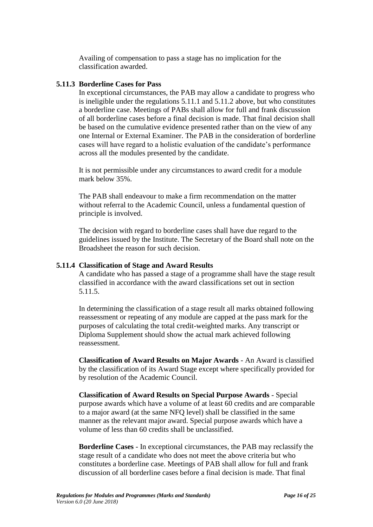Availing of compensation to pass a stage has no implication for the classification awarded.

#### **5.11.3 Borderline Cases for Pass**

In exceptional circumstances, the PAB may allow a candidate to progress who is ineligible under the regulations 5.11.1 and 5.11.2 above, but who constitutes a borderline case. Meetings of PABs shall allow for full and frank discussion of all borderline cases before a final decision is made. That final decision shall be based on the cumulative evidence presented rather than on the view of any one Internal or External Examiner. The PAB in the consideration of borderline cases will have regard to a holistic evaluation of the candidate's performance across all the modules presented by the candidate.

It is not permissible under any circumstances to award credit for a module mark below 35%.

The PAB shall endeavour to make a firm recommendation on the matter without referral to the Academic Council, unless a fundamental question of principle is involved.

The decision with regard to borderline cases shall have due regard to the guidelines issued by the Institute. The Secretary of the Board shall note on the Broadsheet the reason for such decision.

#### **5.11.4 Classification of Stage and Award Results**

A candidate who has passed a stage of a programme shall have the stage result classified in accordance with the award classifications set out in section 5.11.5.

In determining the classification of a stage result all marks obtained following reassessment or repeating of any module are capped at the pass mark for the purposes of calculating the total credit-weighted marks. Any transcript or Diploma Supplement should show the actual mark achieved following reassessment.

**Classification of Award Results on Major Awards** - An Award is classified by the classification of its Award Stage except where specifically provided for by resolution of the Academic Council.

**Classification of Award Results on Special Purpose Awards** - Special purpose awards which have a volume of at least 60 credits and are comparable to a major award (at the same NFQ level) shall be classified in the same manner as the relevant major award. Special purpose awards which have a volume of less than 60 credits shall be unclassified.

**Borderline Cases** - In exceptional circumstances, the PAB may reclassify the stage result of a candidate who does not meet the above criteria but who constitutes a borderline case. Meetings of PAB shall allow for full and frank discussion of all borderline cases before a final decision is made. That final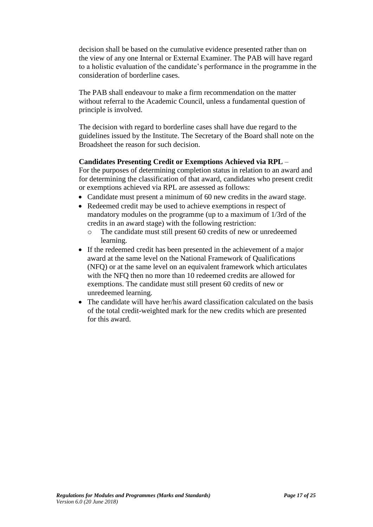decision shall be based on the cumulative evidence presented rather than on the view of any one Internal or External Examiner. The PAB will have regard to a holistic evaluation of the candidate's performance in the programme in the consideration of borderline cases.

The PAB shall endeavour to make a firm recommendation on the matter without referral to the Academic Council, unless a fundamental question of principle is involved.

The decision with regard to borderline cases shall have due regard to the guidelines issued by the Institute. The Secretary of the Board shall note on the Broadsheet the reason for such decision.

#### **Candidates Presenting Credit or Exemptions Achieved via RPL** –

For the purposes of determining completion status in relation to an award and for determining the classification of that award, candidates who present credit or exemptions achieved via RPL are assessed as follows:

- Candidate must present a minimum of 60 new credits in the award stage.
- Redeemed credit may be used to achieve exemptions in respect of mandatory modules on the programme (up to a maximum of 1/3rd of the credits in an award stage) with the following restriction:
	- o The candidate must still present 60 credits of new or unredeemed learning.
- If the redeemed credit has been presented in the achievement of a major award at the same level on the National Framework of Qualifications (NFQ) or at the same level on an equivalent framework which articulates with the NFQ then no more than 10 redeemed credits are allowed for exemptions. The candidate must still present 60 credits of new or unredeemed learning.
- The candidate will have her/his award classification calculated on the basis of the total credit-weighted mark for the new credits which are presented for this award.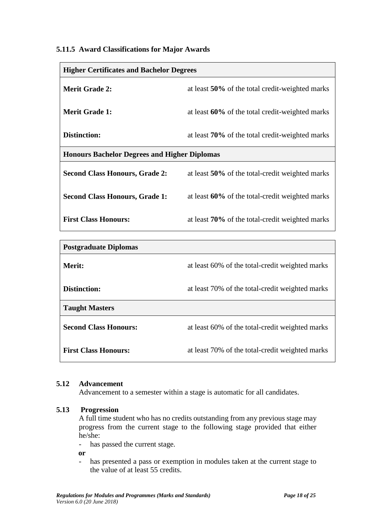#### **5.11.5 Award Classifications for Major Awards**

| <b>Higher Certificates and Bachelor Degrees</b>     |                                                 |  |  |
|-----------------------------------------------------|-------------------------------------------------|--|--|
| <b>Merit Grade 2:</b>                               | at least 50% of the total credit-weighted marks |  |  |
| <b>Merit Grade 1:</b>                               | at least 60% of the total credit-weighted marks |  |  |
| Distinction:                                        | at least 70% of the total credit-weighted marks |  |  |
| <b>Honours Bachelor Degrees and Higher Diplomas</b> |                                                 |  |  |
| <b>Second Class Honours, Grade 2:</b>               | at least 50% of the total-credit weighted marks |  |  |
| <b>Second Class Honours, Grade 1:</b>               | at least 60% of the total-credit weighted marks |  |  |
| <b>First Class Honours:</b>                         | at least 70% of the total-credit weighted marks |  |  |

| <b>Postgraduate Diplomas</b> |                                                 |
|------------------------------|-------------------------------------------------|
| Merit:                       | at least 60% of the total-credit weighted marks |
| Distinction:                 | at least 70% of the total-credit weighted marks |
| <b>Taught Masters</b>        |                                                 |
| <b>Second Class Honours:</b> | at least 60% of the total-credit weighted marks |
| <b>First Class Honours:</b>  | at least 70% of the total-credit weighted marks |

#### **5.12 Advancement**

Advancement to a semester within a stage is automatic for all candidates.

#### **5.13 Progression**

A full time student who has no credits outstanding from any previous stage may progress from the current stage to the following stage provided that either he/she:

- has passed the current stage.

**or** 

- has presented a pass or exemption in modules taken at the current stage to the value of at least 55 credits.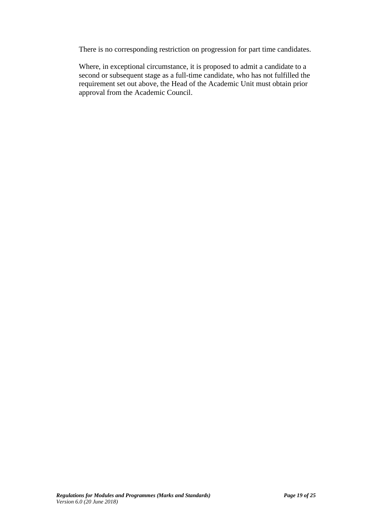There is no corresponding restriction on progression for part time candidates.

Where, in exceptional circumstance, it is proposed to admit a candidate to a second or subsequent stage as a full-time candidate, who has not fulfilled the requirement set out above, the Head of the Academic Unit must obtain prior approval from the Academic Council.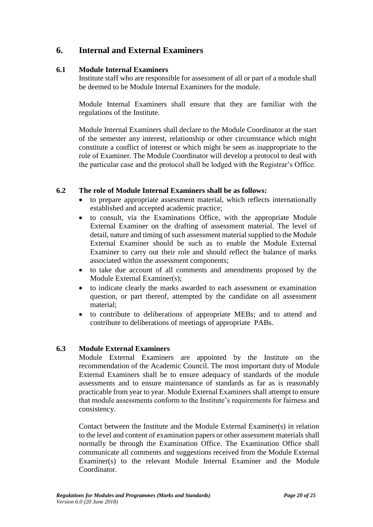# **6. Internal and External Examiners**

#### **6.1 Module Internal Examiners**

Institute staff who are responsible for assessment of all or part of a module shall be deemed to be Module Internal Examiners for the module.

Module Internal Examiners shall ensure that they are familiar with the regulations of the Institute.

Module Internal Examiners shall declare to the Module Coordinator at the start of the semester any interest, relationship or other circumstance which might constitute a conflict of interest or which might be seen as inappropriate to the role of Examiner. The Module Coordinator will develop a protocol to deal with the particular case and the protocol shall be lodged with the Registrar's Office.

#### **6.2 The role of Module Internal Examiners shall be as follows:**

- to prepare appropriate assessment material, which reflects internationally established and accepted academic practice;
- to consult, via the Examinations Office, with the appropriate Module External Examiner on the drafting of assessment material. The level of detail, nature and timing of such assessment material supplied to the Module External Examiner should be such as to enable the Module External Examiner to carry out their role and should reflect the balance of marks associated within the assessment components;
- to take due account of all comments and amendments proposed by the Module External Examiner(s);
- to indicate clearly the marks awarded to each assessment or examination question, or part thereof, attempted by the candidate on all assessment material;
- to contribute to deliberations of appropriate MEBs; and to attend and contribute to deliberations of meetings of appropriate PABs.

#### **6.3 Module External Examiners**

Module External Examiners are appointed by the Institute on the recommendation of the Academic Council. The most important duty of Module External Examiners shall be to ensure adequacy of standards of the module assessments and to ensure maintenance of standards as far as is reasonably practicable from year to year. Module External Examiners shall attempt to ensure that module assessments conform to the Institute's requirements for fairness and consistency.

Contact between the Institute and the Module External Examiner(s) in relation to the level and content of examination papers or other assessment materials shall normally be through the Examination Office. The Examination Office shall communicate all comments and suggestions received from the Module External Examiner(s) to the relevant Module Internal Examiner and the Module Coordinator.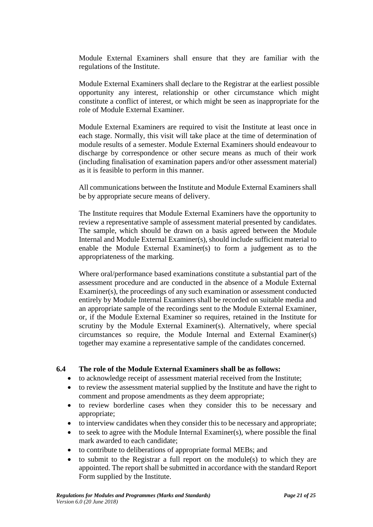Module External Examiners shall ensure that they are familiar with the regulations of the Institute.

Module External Examiners shall declare to the Registrar at the earliest possible opportunity any interest, relationship or other circumstance which might constitute a conflict of interest, or which might be seen as inappropriate for the role of Module External Examiner.

Module External Examiners are required to visit the Institute at least once in each stage. Normally, this visit will take place at the time of determination of module results of a semester. Module External Examiners should endeavour to discharge by correspondence or other secure means as much of their work (including finalisation of examination papers and/or other assessment material) as it is feasible to perform in this manner.

All communications between the Institute and Module External Examiners shall be by appropriate secure means of delivery.

The Institute requires that Module External Examiners have the opportunity to review a representative sample of assessment material presented by candidates. The sample, which should be drawn on a basis agreed between the Module Internal and Module External Examiner(s), should include sufficient material to enable the Module External Examiner(s) to form a judgement as to the appropriateness of the marking.

Where oral/performance based examinations constitute a substantial part of the assessment procedure and are conducted in the absence of a Module External Examiner(s), the proceedings of any such examination or assessment conducted entirely by Module Internal Examiners shall be recorded on suitable media and an appropriate sample of the recordings sent to the Module External Examiner, or, if the Module External Examiner so requires, retained in the Institute for scrutiny by the Module External Examiner(s). Alternatively, where special circumstances so require, the Module Internal and External Examiner(s) together may examine a representative sample of the candidates concerned.

#### **6.4 The role of the Module External Examiners shall be as follows:**

- to acknowledge receipt of assessment material received from the Institute;
- to review the assessment material supplied by the Institute and have the right to comment and propose amendments as they deem appropriate;
- to review borderline cases when they consider this to be necessary and appropriate;
- to interview candidates when they consider this to be necessary and appropriate;
- $\bullet$  to seek to agree with the Module Internal Examiner(s), where possible the final mark awarded to each candidate;
- to contribute to deliberations of appropriate formal MEBs; and
- $\bullet$  to submit to the Registrar a full report on the module(s) to which they are appointed. The report shall be submitted in accordance with the standard Report Form supplied by the Institute.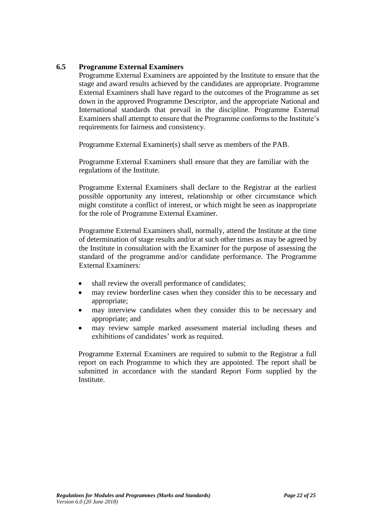#### **6.5 Programme External Examiners**

Programme External Examiners are appointed by the Institute to ensure that the stage and award results achieved by the candidates are appropriate. Programme External Examiners shall have regard to the outcomes of the Programme as set down in the approved Programme Descriptor, and the appropriate National and International standards that prevail in the discipline. Programme External Examiners shall attempt to ensure that the Programme conforms to the Institute's requirements for fairness and consistency.

Programme External Examiner(s) shall serve as members of the PAB.

Programme External Examiners shall ensure that they are familiar with the regulations of the Institute.

Programme External Examiners shall declare to the Registrar at the earliest possible opportunity any interest, relationship or other circumstance which might constitute a conflict of interest, or which might be seen as inappropriate for the role of Programme External Examiner.

Programme External Examiners shall, normally, attend the Institute at the time of determination of stage results and/or at such other times as may be agreed by the Institute in consultation with the Examiner for the purpose of assessing the standard of the programme and/or candidate performance. The Programme External Examiners:

- shall review the overall performance of candidates;
- may review borderline cases when they consider this to be necessary and appropriate;
- may interview candidates when they consider this to be necessary and appropriate; and
- may review sample marked assessment material including theses and exhibitions of candidates' work as required.

Programme External Examiners are required to submit to the Registrar a full report on each Programme to which they are appointed. The report shall be submitted in accordance with the standard Report Form supplied by the Institute.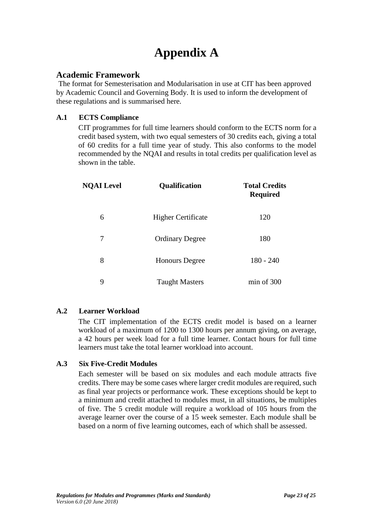# **Appendix A**

#### **Academic Framework**

The format for Semesterisation and Modularisation in use at CIT has been approved by Academic Council and Governing Body. It is used to inform the development of these regulations and is summarised here.

#### **A.1 ECTS Compliance**

CIT programmes for full time learners should conform to the ECTS norm for a credit based system, with two equal semesters of 30 credits each, giving a total of 60 credits for a full time year of study. This also conforms to the model recommended by the NQAI and results in total credits per qualification level as shown in the table.

| <b>NQAI Level</b> | Qualification             | <b>Total Credits</b><br><b>Required</b> |
|-------------------|---------------------------|-----------------------------------------|
| 6                 | <b>Higher Certificate</b> | 120                                     |
| 7                 | <b>Ordinary Degree</b>    | 180                                     |
| 8                 | <b>Honours</b> Degree     | $180 - 240$                             |
| 9                 | <b>Taught Masters</b>     | min of 300                              |

#### **A.2 Learner Workload**

The CIT implementation of the ECTS credit model is based on a learner workload of a maximum of 1200 to 1300 hours per annum giving, on average, a 42 hours per week load for a full time learner. Contact hours for full time learners must take the total learner workload into account.

#### **A.3 Six Five-Credit Modules**

Each semester will be based on six modules and each module attracts five credits. There may be some cases where larger credit modules are required, such as final year projects or performance work. These exceptions should be kept to a minimum and credit attached to modules must, in all situations, be multiples of five. The 5 credit module will require a workload of 105 hours from the average learner over the course of a 15 week semester. Each module shall be based on a norm of five learning outcomes, each of which shall be assessed.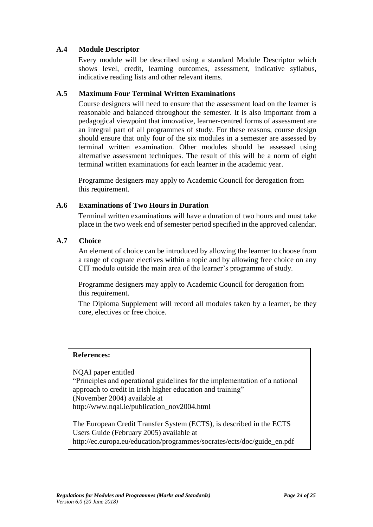#### **A.4 Module Descriptor**

Every module will be described using a standard Module Descriptor which shows level, credit, learning outcomes, assessment, indicative syllabus, indicative reading lists and other relevant items.

#### **A.5 Maximum Four Terminal Written Examinations**

Course designers will need to ensure that the assessment load on the learner is reasonable and balanced throughout the semester. It is also important from a pedagogical viewpoint that innovative, learner-centred forms of assessment are an integral part of all programmes of study. For these reasons, course design should ensure that only four of the six modules in a semester are assessed by terminal written examination. Other modules should be assessed using alternative assessment techniques. The result of this will be a norm of eight terminal written examinations for each learner in the academic year.

Programme designers may apply to Academic Council for derogation from this requirement.

#### **A.6 Examinations of Two Hours in Duration**

Terminal written examinations will have a duration of two hours and must take place in the two week end of semester period specified in the approved calendar.

#### **A.7 Choice**

An element of choice can be introduced by allowing the learner to choose from a range of cognate electives within a topic and by allowing free choice on any CIT module outside the main area of the learner's programme of study.

Programme designers may apply to Academic Council for derogation from this requirement.

The Diploma Supplement will record all modules taken by a learner, be they core, electives or free choice.

#### **References:**

NQAI paper entitled "Principles and operational guidelines for the implementation of a national approach to credit in Irish higher education and training" (November 2004) available at http://www.nqai.ie/publication\_nov2004.html

The European Credit Transfer System (ECTS), is described in the ECTS Users Guide (February 2005) available at http://ec.europa.eu/education/programmes/socrates/ects/doc/guide\_en.pdf